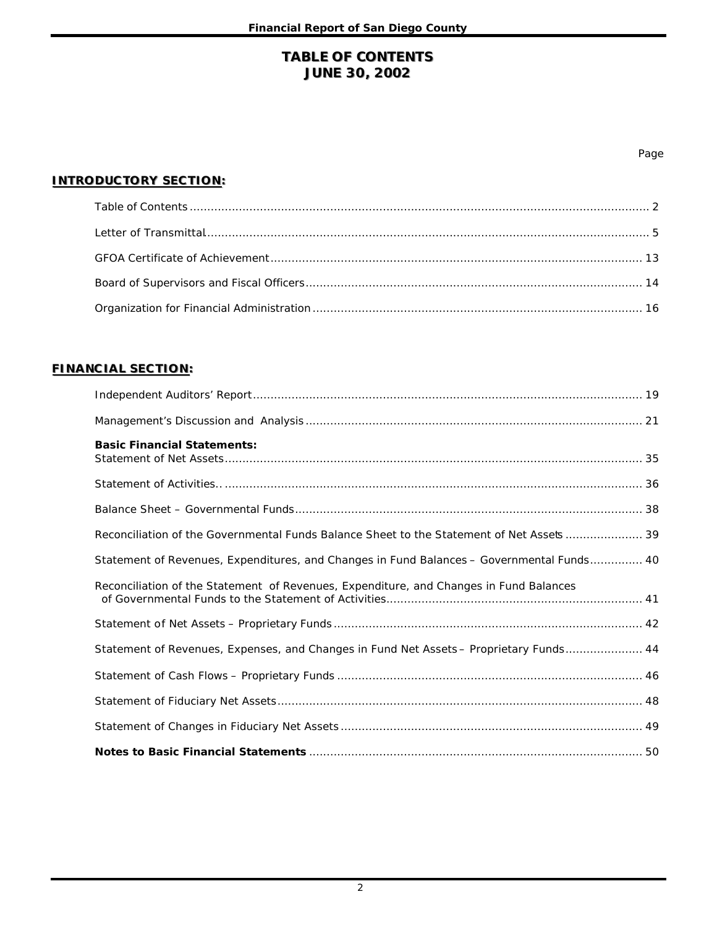# **TABLE OF CONTENTS JUNE 30, 2002**

#### Page

#### **INTRODUCTORY SECTION:**

## **FINANCIAL SECTION:**

| <b>Basic Financial Statements:</b>                                                        |
|-------------------------------------------------------------------------------------------|
|                                                                                           |
|                                                                                           |
| Reconciliation of the Governmental Funds Balance Sheet to the Statement of Net Asset      |
| Statement of Revenues, Expenditures, and Changes in Fund Balances - Governmental Funds 40 |
| Reconciliation of the Statement of Revenues, Expenditure, and Changes in Fund Balances    |
|                                                                                           |
| Statement of Revenues, Expenses, and Changes in Fund Net Assets - Proprietary Funds 44    |
|                                                                                           |
|                                                                                           |
|                                                                                           |
|                                                                                           |